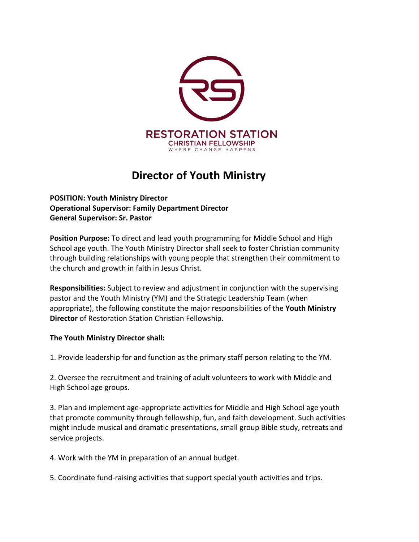

# **Director of Youth Ministry**

**POSITION: Youth Ministry Director Operational Supervisor: Family Department Director General Supervisor: Sr. Pastor**

**Position Purpose:** To direct and lead youth programming for Middle School and High School age youth. The Youth Ministry Director shall seek to foster Christian community through building relationships with young people that strengthen their commitment to the church and growth in faith in Jesus Christ.

**Responsibilities:** Subject to review and adjustment in conjunction with the supervising pastor and the Youth Ministry (YM) and the Strategic Leadership Team (when appropriate), the following constitute the major responsibilities of the **Youth Ministry Director** of Restoration Station Christian Fellowship.

# **The Youth Ministry Director shall:**

1. Provide leadership for and function as the primary staff person relating to the YM.

2. Oversee the recruitment and training of adult volunteers to work with Middle and High School age groups.

3. Plan and implement age-appropriate activities for Middle and High School age youth that promote community through fellowship, fun, and faith development. Such activities might include musical and dramatic presentations, small group Bible study, retreats and service projects.

4. Work with the YM in preparation of an annual budget.

5. Coordinate fund-raising activities that support special youth activities and trips.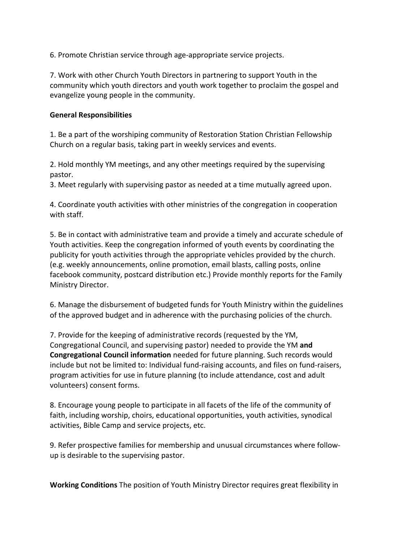6. Promote Christian service through age-appropriate service projects.

7. Work with other Church Youth Directors in partnering to support Youth in the community which youth directors and youth work together to proclaim the gospel and evangelize young people in the community.

#### **General Responsibilities**

1. Be a part of the worshiping community of Restoration Station Christian Fellowship Church on a regular basis, taking part in weekly services and events.

2. Hold monthly YM meetings, and any other meetings required by the supervising pastor.

3. Meet regularly with supervising pastor as needed at a time mutually agreed upon.

4. Coordinate youth activities with other ministries of the congregation in cooperation with staff.

5. Be in contact with administrative team and provide a timely and accurate schedule of Youth activities. Keep the congregation informed of youth events by coordinating the publicity for youth activities through the appropriate vehicles provided by the church. (e.g. weekly announcements, online promotion, email blasts, calling posts, online facebook community, postcard distribution etc.) Provide monthly reports for the Family Ministry Director.

6. Manage the disbursement of budgeted funds for Youth Ministry within the guidelines of the approved budget and in adherence with the purchasing policies of the church.

7. Provide for the keeping of administrative records (requested by the YM, Congregational Council, and supervising pastor) needed to provide the YM **and Congregational Council information** needed for future planning. Such records would include but not be limited to: Individual fund-raising accounts, and files on fund-raisers, program activities for use in future planning (to include attendance, cost and adult volunteers) consent forms.

8. Encourage young people to participate in all facets of the life of the community of faith, including worship, choirs, educational opportunities, youth activities, synodical activities, Bible Camp and service projects, etc.

9. Refer prospective families for membership and unusual circumstances where followup is desirable to the supervising pastor.

**Working Conditions** The position of Youth Ministry Director requires great flexibility in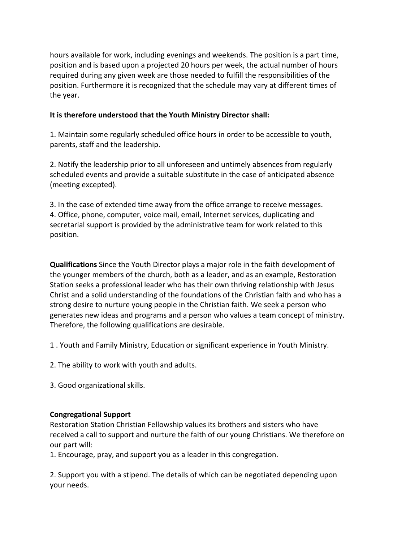hours available for work, including evenings and weekends. The position is a part time, position and is based upon a projected 20 hours per week, the actual number of hours required during any given week are those needed to fulfill the responsibilities of the position. Furthermore it is recognized that the schedule may vary at different times of the year.

## **It is therefore understood that the Youth Ministry Director shall:**

1. Maintain some regularly scheduled office hours in order to be accessible to youth, parents, staff and the leadership.

2. Notify the leadership prior to all unforeseen and untimely absences from regularly scheduled events and provide a suitable substitute in the case of anticipated absence (meeting excepted).

3. In the case of extended time away from the office arrange to receive messages. 4. Office, phone, computer, voice mail, email, Internet services, duplicating and secretarial support is provided by the administrative team for work related to this position.

**Qualifications** Since the Youth Director plays a major role in the faith development of the younger members of the church, both as a leader, and as an example, Restoration Station seeks a professional leader who has their own thriving relationship with Jesus Christ and a solid understanding of the foundations of the Christian faith and who has a strong desire to nurture young people in the Christian faith. We seek a person who generates new ideas and programs and a person who values a team concept of ministry. Therefore, the following qualifications are desirable.

1 . Youth and Family Ministry, Education or significant experience in Youth Ministry.

- 2. The ability to work with youth and adults.
- 3. Good organizational skills.

## **Congregational Support**

Restoration Station Christian Fellowship values its brothers and sisters who have received a call to support and nurture the faith of our young Christians. We therefore on our part will:

1. Encourage, pray, and support you as a leader in this congregation.

2. Support you with a stipend. The details of which can be negotiated depending upon your needs.